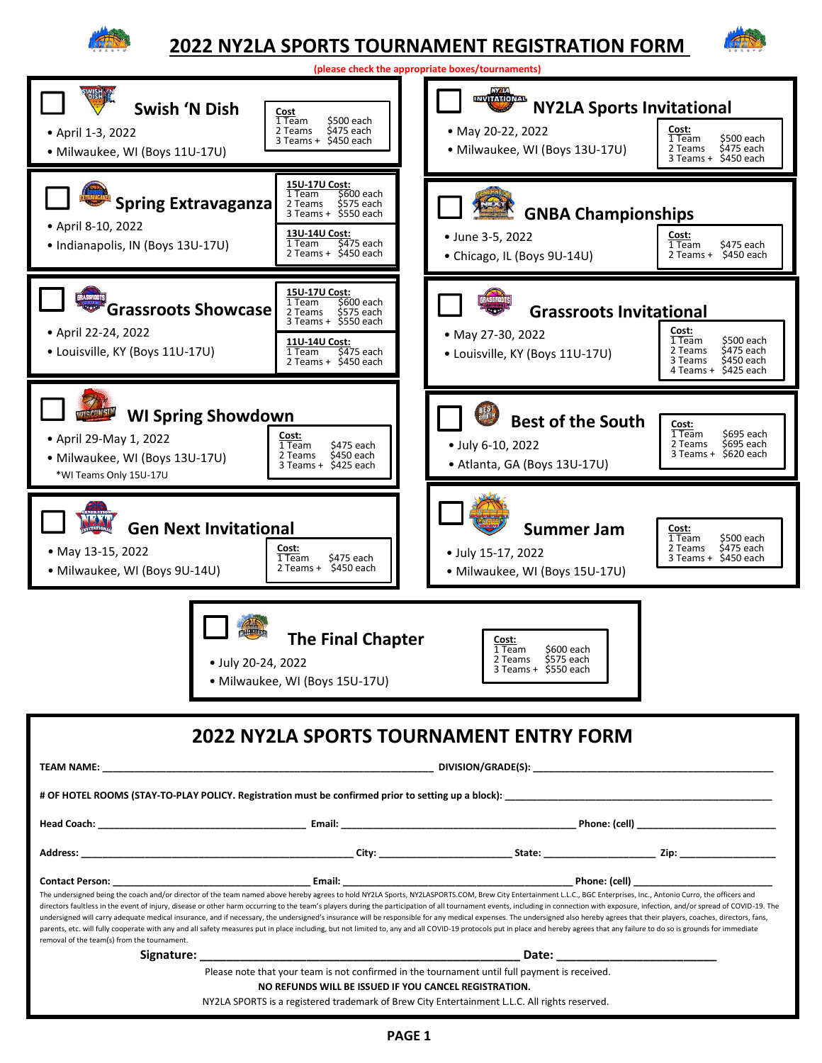

# **2022 NY2LA SPORTS TOURNAMENT REGISTRATION FORM**



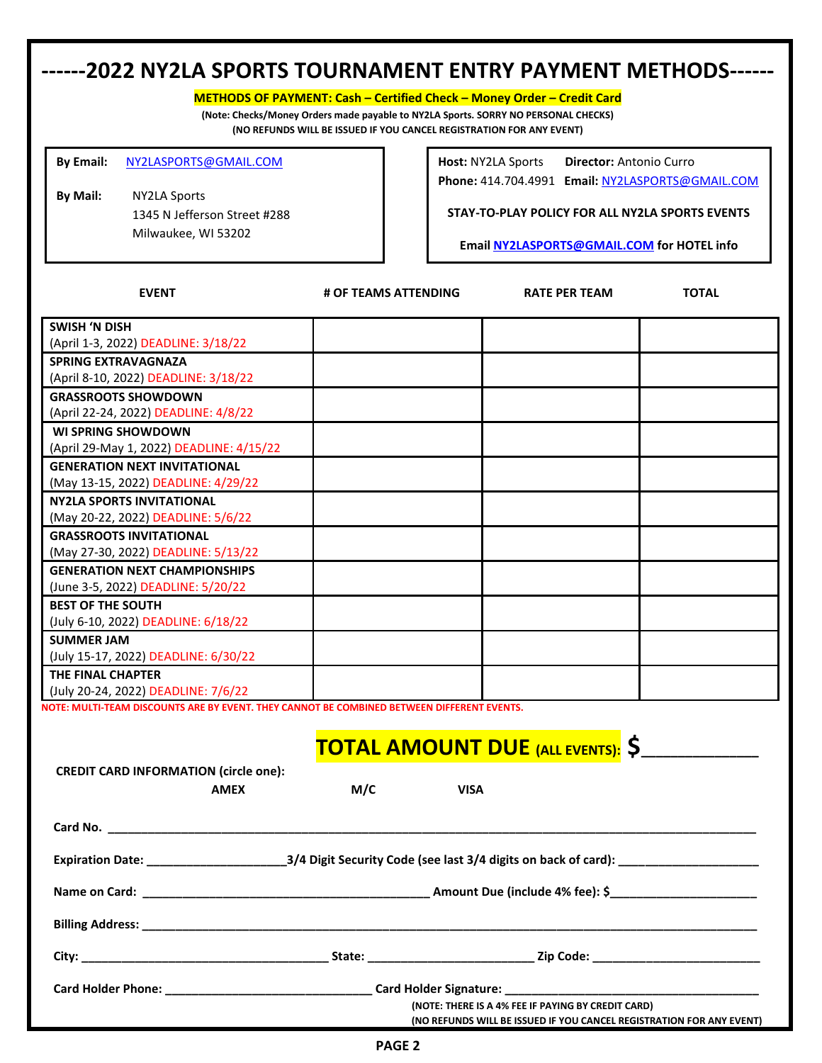## **------2022 NY2LA SPORTS TOURNAMENT ENTRY PAYMENT METHODS------**

**METHODS OF PAYMENT: Cash – Certified Check – Money Order – Credit Card** 

**(Note: Checks/Money Orders made payable to NY2LA Sports. SORRY NO PERSONAL CHECKS) (NO REFUNDS WILL BE ISSUED IF YOU CANCEL REGISTRATION FOR ANY EVENT)**

**By Email:** [NY2LASPORTS@GMAIL.COM](mailto:NY2LASPORTS@GMAIL.COM)

**By Mail:** NY2LA Sports 1345 N Jefferson Street #288 Milwaukee, WI 53202

**Host:** NY2LA Sports **Director:** Antonio Curro **Phone:** 414.704.4991 **Email:** [NY2LASPORTS@GMAIL.COM](mailto:NY2LASPORTS@GMAIL.COM)

**STAY-TO-PLAY POLICY FOR ALL NY2LA SPORTS EVENTS**

**Email [NY2LASPORTS@GMAIL.COM](mailto:NY2LASPORTS@GMAIL.COM) for HOTEL info**

| <b>EVENT</b>                                                                                                               | # OF TEAMS ATTENDING                                                                                | <b>RATE PER TEAM</b> | <b>TOTAL</b> |  |
|----------------------------------------------------------------------------------------------------------------------------|-----------------------------------------------------------------------------------------------------|----------------------|--------------|--|
| <b>SWISH 'N DISH</b>                                                                                                       |                                                                                                     |                      |              |  |
| (April 1-3, 2022) DEADLINE: 3/18/22                                                                                        |                                                                                                     |                      |              |  |
| <b>SPRING EXTRAVAGNAZA</b>                                                                                                 |                                                                                                     |                      |              |  |
| (April 8-10, 2022) DEADLINE: 3/18/22                                                                                       |                                                                                                     |                      |              |  |
| <b>GRASSROOTS SHOWDOWN</b>                                                                                                 |                                                                                                     |                      |              |  |
| (April 22-24, 2022) DEADLINE: 4/8/22                                                                                       |                                                                                                     |                      |              |  |
| <b>WI SPRING SHOWDOWN</b>                                                                                                  |                                                                                                     |                      |              |  |
| (April 29-May 1, 2022) DEADLINE: 4/15/22                                                                                   |                                                                                                     |                      |              |  |
| <b>GENERATION NEXT INVITATIONAL</b>                                                                                        |                                                                                                     |                      |              |  |
| (May 13-15, 2022) DEADLINE: 4/29/22                                                                                        |                                                                                                     |                      |              |  |
| <b>NY2LA SPORTS INVITATIONAL</b>                                                                                           |                                                                                                     |                      |              |  |
| (May 20-22, 2022) DEADLINE: 5/6/22                                                                                         |                                                                                                     |                      |              |  |
| <b>GRASSROOTS INVITATIONAL</b>                                                                                             |                                                                                                     |                      |              |  |
| (May 27-30, 2022) DEADLINE: 5/13/22                                                                                        |                                                                                                     |                      |              |  |
| <b>GENERATION NEXT CHAMPIONSHIPS</b>                                                                                       |                                                                                                     |                      |              |  |
| (June 3-5, 2022) DEADLINE: 5/20/22                                                                                         |                                                                                                     |                      |              |  |
| <b>BEST OF THE SOUTH</b>                                                                                                   |                                                                                                     |                      |              |  |
| (July 6-10, 2022) DEADLINE: 6/18/22                                                                                        |                                                                                                     |                      |              |  |
| <b>SUMMER JAM</b>                                                                                                          |                                                                                                     |                      |              |  |
| (July 15-17, 2022) DEADLINE: 6/30/22                                                                                       |                                                                                                     |                      |              |  |
| THE FINAL CHAPTER                                                                                                          |                                                                                                     |                      |              |  |
| (July 20-24, 2022) DEADLINE: 7/6/22                                                                                        |                                                                                                     |                      |              |  |
| NOTE: MULTI-TEAM DISCOUNTS ARE BY EVENT. THEY CANNOT BE COMBINED BETWEEN DIFFERENT EVENTS.                                 |                                                                                                     |                      |              |  |
|                                                                                                                            |                                                                                                     |                      |              |  |
|                                                                                                                            | <b>TOTAL AMOUNT DUE (ALL EVENTS): \$</b>                                                            |                      |              |  |
| <b>CREDIT CARD INFORMATION (circle one):</b>                                                                               |                                                                                                     |                      |              |  |
| <b>AMEX</b>                                                                                                                | M/C<br><b>VISA</b>                                                                                  |                      |              |  |
|                                                                                                                            |                                                                                                     |                      |              |  |
|                                                                                                                            |                                                                                                     |                      |              |  |
|                                                                                                                            |                                                                                                     |                      |              |  |
|                                                                                                                            |                                                                                                     |                      |              |  |
|                                                                                                                            |                                                                                                     |                      |              |  |
|                                                                                                                            |                                                                                                     |                      |              |  |
|                                                                                                                            |                                                                                                     |                      |              |  |
|                                                                                                                            |                                                                                                     |                      |              |  |
|                                                                                                                            |                                                                                                     |                      |              |  |
|                                                                                                                            |                                                                                                     |                      |              |  |
|                                                                                                                            |                                                                                                     |                      |              |  |
|                                                                                                                            | Card Holder Phone: ___________________________________Card Holder Signature: ______________________ |                      |              |  |
| (NOTE: THERE IS A 4% FEE IF PAYING BY CREDIT CARD)<br>(NO REFUNDS WILL BE ISSUED IF YOU CANCEL REGISTRATION FOR ANY EVENT) |                                                                                                     |                      |              |  |
| <b>DACE 3</b>                                                                                                              |                                                                                                     |                      |              |  |